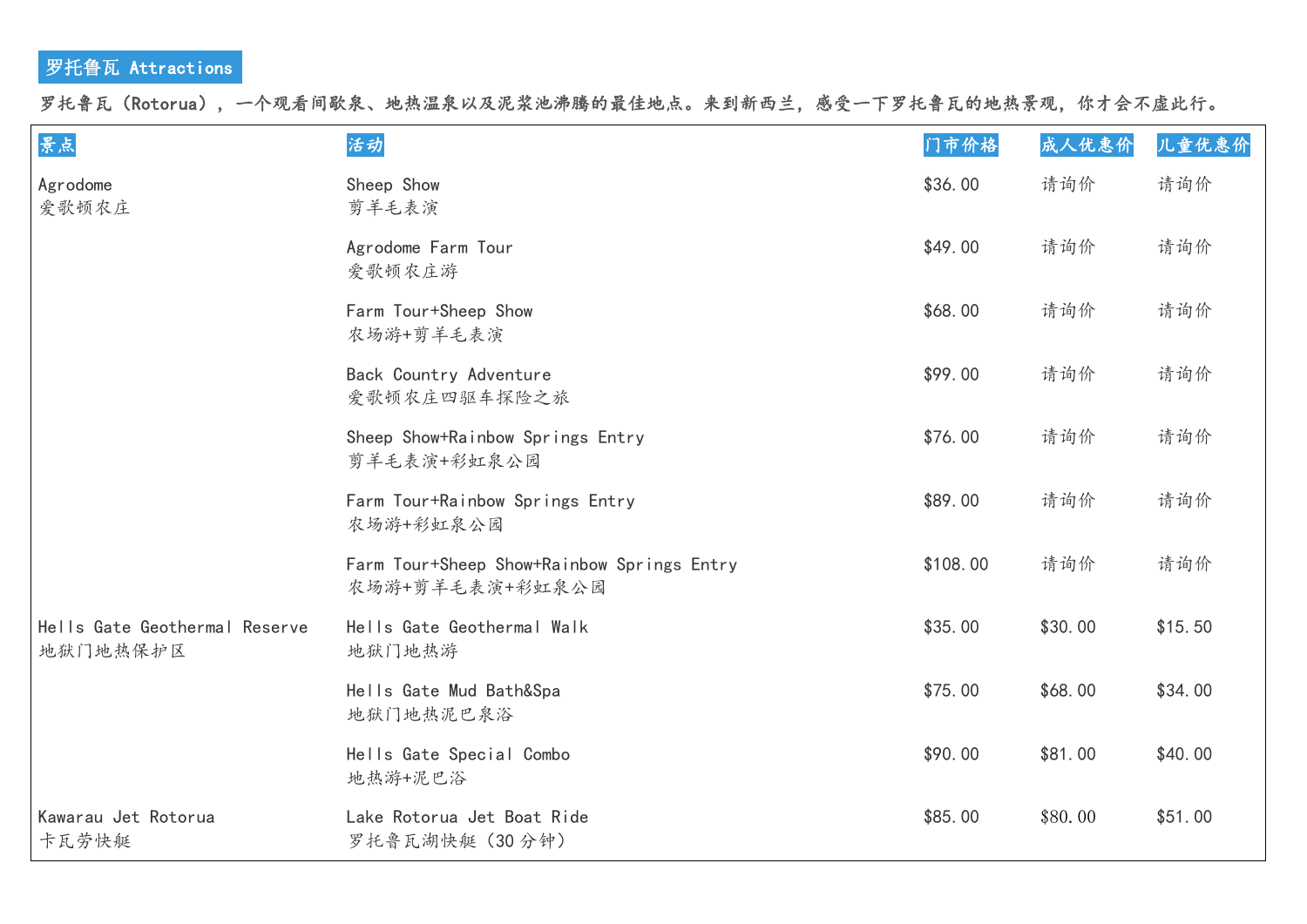## 罗托鲁瓦 Attractions

罗托鲁瓦(Rotorua),一个观看间歇泉、地热温泉以及泥浆池沸腾的最佳地点。来到新西兰,感受一下罗托鲁瓦的地热景观,你才会不虚此行。

| 景点                                        | 活动                                                            | 门市价格     | 成人优惠价   | 儿童优惠价   |
|-------------------------------------------|---------------------------------------------------------------|----------|---------|---------|
| Agrodome<br>爱歌顿农庄                         | Sheep Show<br>剪羊毛表演                                           | \$36.00  | 请询价     | 请询价     |
|                                           | Agrodome Farm Tour<br>爱歌顿农庄游                                  | \$49.00  | 请询价     | 请询价     |
|                                           | Farm Tour+Sheep Show<br>农场游+剪羊毛表演                             | \$68.00  | 请询价     | 请询价     |
|                                           | Back Country Adventure<br>爱歌顿农庄四驱车探险之旅                        | \$99.00  | 请询价     | 请询价     |
|                                           | Sheep Show+Rainbow Springs Entry<br>剪羊毛表演+彩虹泉公园               | \$76.00  | 请询价     | 请询价     |
|                                           | Farm Tour+Rainbow Springs Entry<br>农场游+彩虹泉公园                  | \$89.00  | 请询价     | 请询价     |
|                                           | Farm Tour+Sheep Show+Rainbow Springs Entry<br>农场游+剪羊毛表演+彩虹泉公园 | \$108.00 | 请询价     | 请询价     |
| Hells Gate Geothermal Reserve<br>地狱门地热保护区 | Hells Gate Geothermal Walk<br>地狱门地热游                          | \$35.00  | \$30.00 | \$15.50 |
|                                           | Hells Gate Mud Bath&Spa<br>地狱门地热泥巴泉浴                          | \$75.00  | \$68.00 | \$34.00 |
|                                           | Hells Gate Special Combo<br>地热游+泥巴浴                           | \$90.00  | \$81.00 | \$40.00 |
| Kawarau Jet Rotorua<br>卡瓦劳快艇              | Lake Rotorua Jet Boat Ride<br>罗托鲁瓦湖快艇 (30分钟)                  | \$85.00  | \$80.00 | \$51.00 |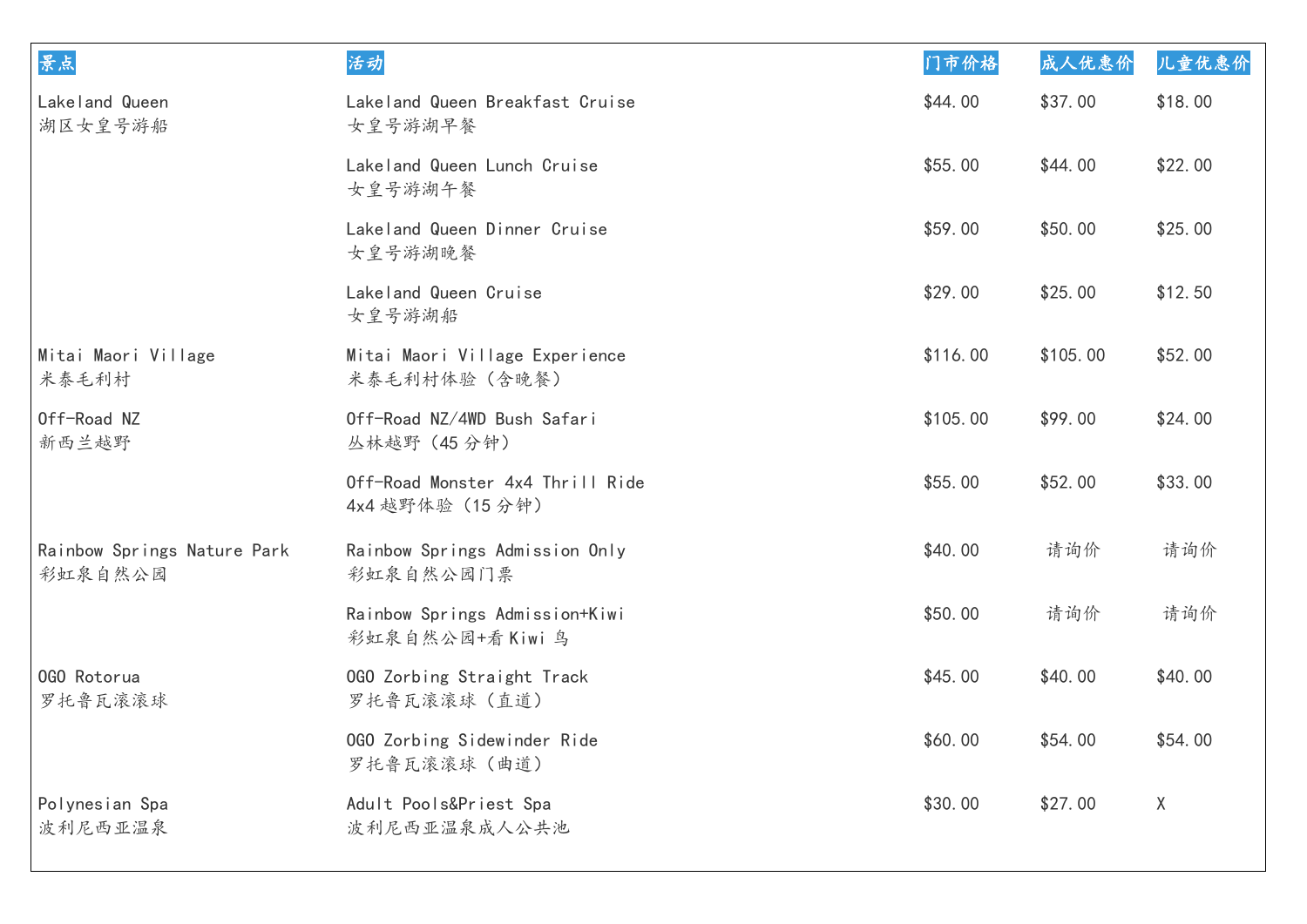| 景点                                     | 活动                                                  | 门市价格     | 成人优惠价    | 儿童优惠价   |
|----------------------------------------|-----------------------------------------------------|----------|----------|---------|
| Lakeland Queen<br>湖区女皇号游船              | Lakeland Queen Breakfast Cruise<br>女皇号游湖早餐          | \$44.00  | \$37.00  | \$18.00 |
|                                        | Lakeland Queen Lunch Cruise<br>女皇号游湖午餐              | \$55.00  | \$44.00  | \$22.00 |
|                                        | Lakeland Queen Dinner Cruise<br>女皇号游湖晚餐             | \$59.00  | \$50.00  | \$25.00 |
|                                        | Lakeland Queen Cruise<br>女皇号游湖船                     | \$29.00  | \$25.00  | \$12.50 |
| Mitai Maori Village<br>米泰毛利村           | Mitai Maori Village Experience<br>米泰毛利村体验(含晚餐)      | \$116.00 | \$105.00 | \$52.00 |
| Off-Road NZ<br>新西兰越野                   | Off-Road NZ/4WD Bush Safari<br>丛林越野 (45分钟)          | \$105.00 | \$99.00  | \$24.00 |
|                                        | Off-Road Monster 4x4 Thrill Ride<br>4x4 越野体验 (15分钟) | \$55.00  | \$52.00  | \$33.00 |
| Rainbow Springs Nature Park<br>彩虹泉自然公园 | Rainbow Springs Admission Only<br>彩虹泉自然公园门票         | \$40.00  | 请询价      | 请询价     |
|                                        | Rainbow Springs Admission+Kiwi<br>彩虹泉自然公园+看 Kiwi 鸟  | \$50.00  | 请询价      | 请询价     |
| 0GO Rotorua<br>罗托鲁瓦滚滚球                 | 0GO Zorbing Straight Track<br>罗托鲁瓦滚滚球(直道)           | \$45.00  | \$40.00  | \$40.00 |
|                                        | 0GO Zorbing Sidewinder Ride<br>罗托鲁瓦滚滚球(曲道)          | \$60.00  | \$54.00  | \$54.00 |
| Polynesian Spa<br>波利尼西亚温泉              | Adult Pools&Priest Spa<br>波利尼西亚温泉成人公共池              | \$30.00  | \$27.00  | X       |
|                                        |                                                     |          |          |         |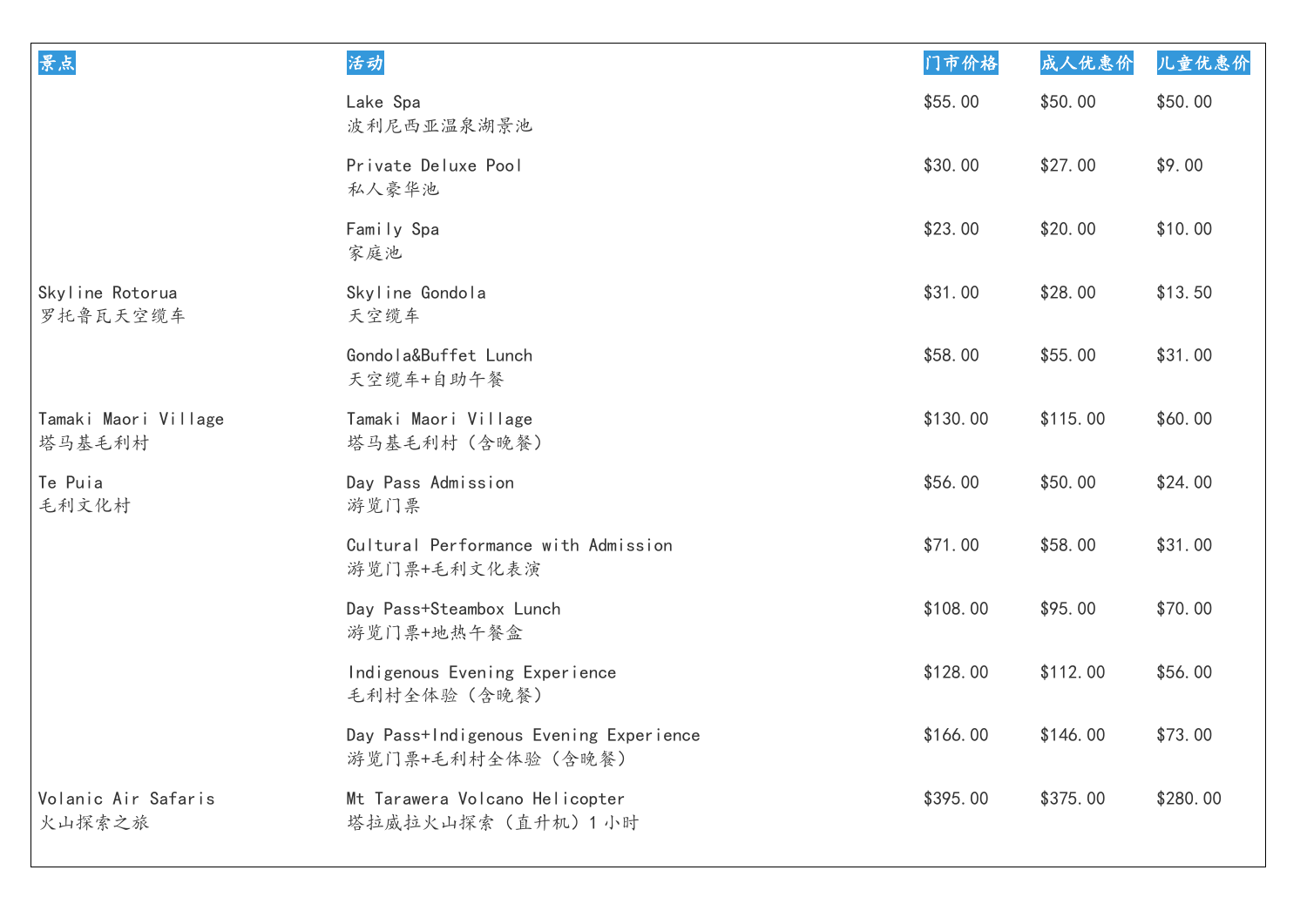| 景点                             | 活动                                                         | 门市价格     | 成人优惠价    | 儿童优惠价    |
|--------------------------------|------------------------------------------------------------|----------|----------|----------|
|                                | Lake Spa<br>波利尼西亚温泉湖景池                                     | \$55.00  | \$50.00  | \$50.00  |
|                                | Private Deluxe Pool<br>私人豪华池                               | \$30.00  | \$27.00  | \$9.00   |
|                                | Family Spa<br>家庭池                                          | \$23.00  | \$20.00  | \$10.00  |
| Skyline Rotorua<br>罗托鲁瓦天空缆车    | Skyline Gondola<br>天空缆车                                    | \$31.00  | \$28.00  | \$13.50  |
|                                | Gondola&Buffet Lunch<br>天空缆车+自助午餐                          | \$58.00  | \$55.00  | \$31.00  |
| Tamaki Maori Village<br>塔马基毛利村 | Tamaki Maori Village<br>塔马基毛利村 (含晚餐)                       | \$130.00 | \$115.00 | \$60.00  |
| Te Puia<br>毛利文化村               | Day Pass Admission<br>游览门票                                 | \$56.00  | \$50.00  | \$24.00  |
|                                | Cultural Performance with Admission<br>游览门票+毛利文化表演         | \$71.00  | \$58.00  | \$31.00  |
|                                | Day Pass+Steambox Lunch<br>游览门票+地热午餐盒                      | \$108.00 | \$95.00  | \$70.00  |
|                                | Indigenous Evening Experience<br>毛利村全体验(含晚餐)               | \$128.00 | \$112.00 | \$56.00  |
|                                | Day Pass+Indigenous Evening Experience<br>游览门票+毛利村全体验(含晚餐) | \$166.00 | \$146.00 | \$73.00  |
| Volanic Air Safaris<br>火山探索之旅  | Mt Tarawera Volcano Helicopter<br>塔拉威拉火山探索 (直升机) 1 小时      | \$395.00 | \$375.00 | \$280.00 |
|                                |                                                            |          |          |          |